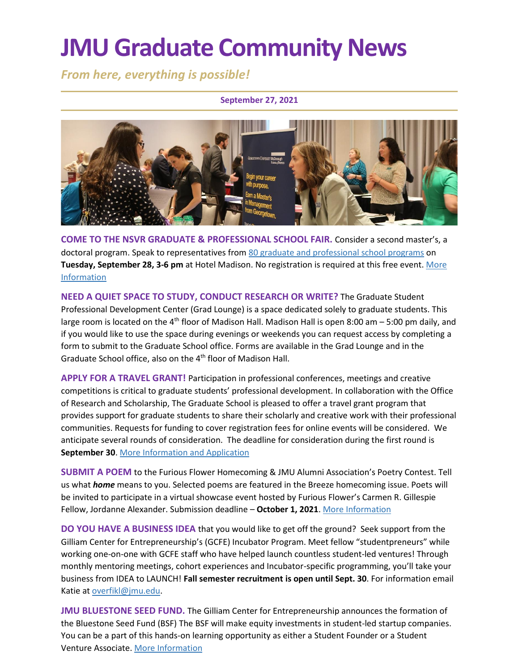# **JMU Graduate Community News**

*From here, everything is possible!*

#### **September 27, 2021**



**COME TO THE NSVR GRADUATE & PROFESSIONAL SCHOOL FAIR.** Consider a second master's, a doctoral program. Speak to representatives from 80 [graduate and professional school programs](https://www.jmu.edu/gradfairs/programs-attending.shtml) on **Tuesday, September 28, 3-6 pm** at Hotel Madison. No registration is required at this free event[. More](https://www.jmu.edu/gradfairs/students.shtml)  [Information](https://www.jmu.edu/gradfairs/students.shtml)

**NEED A QUIET SPACE TO STUDY, CONDUCT RESEARCH OR WRITE?** The Graduate Student Professional Development Center (Grad Lounge) is a space dedicated solely to graduate students. This large room is located on the 4<sup>th</sup> floor of Madison Hall. Madison Hall is open 8:00 am  $-5:00$  pm daily, and if you would like to use the space during evenings or weekends you can request access by completing a form to submit to the Graduate School office. Forms are available in the Grad Lounge and in the Graduate School office, also on the 4<sup>th</sup> floor of Madison Hall.

**APPLY FOR A TRAVEL GRANT!** Participation in professional conferences, meetings and creative competitions is critical to graduate students' professional development. In collaboration with the Office of Research and Scholarship, The Graduate School is pleased to offer a travel grant program that provides support for graduate students to share their scholarly and creative work with their professional communities. Requests for funding to cover registration fees for online events will be considered. We anticipate several rounds of consideration. The deadline for consideration during the first round is **September 30**. [More Information and Application](https://www.jmu.edu/grad/current-students/awards-grants/travel-grants.shtml)

**SUBMIT A POEM** to the Furious Flower Homecoming & JMU Alumni Association's Poetry Contest. Tell us what *home* means to you. Selected poems are featured in the Breeze homecoming issue. Poets will be invited to participate in a virtual showcase event hosted by Furious Flower's Carmen R. Gillespie Fellow, Jordanne Alexander. Submission deadline – **October 1, 2021**. [More Information](https://m.shortstack.page/ZGk8sT?fbclid=IwAR0AGQkTXLMiTTaXdnGhFuyyoT4PD3HMBL6gU5TndoPrT0VkuRprCsvoyEM%2Ft_blank)

**DO YOU HAVE A BUSINESS IDEA** that you would like to get off the ground? Seek support from the Gilliam Center for Entrepreneurship's (GCFE) Incubator Program. Meet fellow "studentpreneurs" while working one-on-one with GCFE staff who have helped launch countless student-led ventures! Through monthly mentoring meetings, cohort experiences and Incubator-specific programming, you'll take your business from IDEA to LAUNCH! **Fall semester recruitment is open until Sept. 30**. For information email Katie a[t overfikl@jmu.edu.](mailto:overfikl@jmu.edu)

**JMU BLUESTONE SEED FUND.** The Gilliam Center for Entrepreneurship announces the formation of the Bluestone Seed Fund (BSF) The BSF will make equity investments in student-led startup companies. You can be a part of this hands-on learning opportunity as either a Student Founder or a Student Venture Associate[. More Information](https://www.jmu.edu/cob/centers/center-for-entrepreneurship/index.shtml)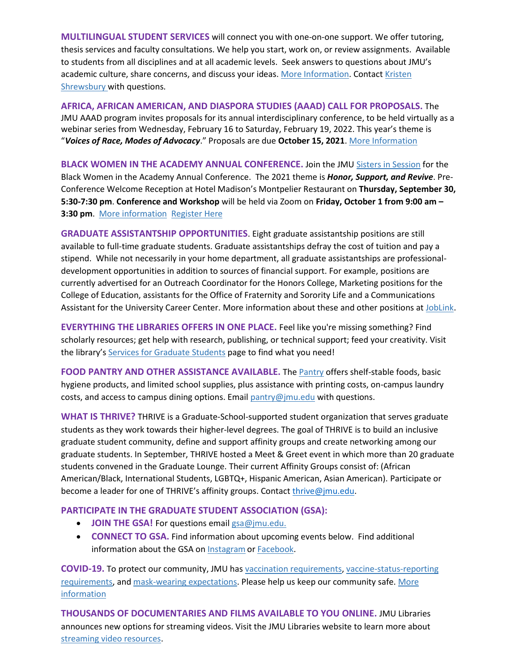**MULTILINGUAL STUDENT SERVICES** will connect you with one-on-one support. We offer tutoring, thesis services and faculty consultations. We help you start, work on, or review assignments. Available to students from all disciplines and at all academic levels. Seek answers to questions about JMU's academic culture, share concerns, and discuss your ideas. [More Information.](https://www.jmu.edu/learning/multilingual-services/) Contact Kristen [Shrewsbury](mailto:shrewskm@jmu.edu) with questions.

**AFRICA, AFRICAN AMERICAN, AND DIASPORA STUDIES (AAAD) CALL FOR PROPOSALS.** The JMU AAAD program invites proposals for its annual interdisciplinary conference, to be held virtually as a webinar series from Wednesday, February 16 to Saturday, February 19, 2022. This year's theme is "*Voices of Race, Modes of Advocacy*." Proposals are due **October 15, 2021**. [More Information](https://sites.lib.jmu.edu/aaadjmu/)

**BLACK WOMEN IN THE ACADEMY ANNUAL CONFERENCE.** Join the JM[U Sisters in Session](https://www.jmu.edu/news/2020/08/06-mm-sisters-in-session-sheds-light.shtml) for the Black Women in the Academy Annual Conference. The 2021 theme is *Honor, Support, and Revive*. Pre-Conference Welcome Reception at Hotel Madison's Montpelier Restaurant on **Thursday, September 30, 5:30-7:30 pm**. **Conference and Workshop** will be held via Zoom on **Friday, October 1 from 9:00 am – 3:30 pm**. [More information](https://www.jmu.edu/diversity/sis/index.shtml) [Register Here](https://jmu-edu.zoom.us/meeting/register/tZIodO6trz8pH9GOEEmV-Bq130h68W2an6wP)

**GRADUATE ASSISTANTSHIP OPPORTUNITIES**. Eight graduate assistantship positions are still available to full-time graduate students. Graduate assistantships defray the cost of tuition and pay a stipend. While not necessarily in your home department, all graduate assistantships are professionaldevelopment opportunities in addition to sources of financial support. For example, positions are currently advertised for an Outreach Coordinator for the Honors College, Marketing positions for the College of Education, assistants for the Office of Fraternity and Sorority Life and a Communications Assistant for the University Career Center. More information about these and other positions at [JobLink.](https://joblink.jmu.edu/)

**EVERYTHING THE LIBRARIES OFFERS IN ONE PLACE.** Feel like you're missing something? Find scholarly resources; get help with research, publishing, or technical support; feed your creativity. Visit the library's [Services for Graduate Students](https://www.lib.jmu.edu/graduate-students/) page to find what you need!

**FOOD PANTRY AND OTHER ASSISTANCE AVAILABLE.** The [Pantry](https://info.jmu.edu/ocl/pop-up-pantry/) offers shelf-stable foods, basic hygiene products, and limited school supplies, plus assistance with printing costs, on-campus laundry costs, and access to campus dining options. Emai[l pantry@jmu.edu](mailto:pantry@jmu.edu) with questions.

**WHAT IS THRIVE?** THRIVE is a Graduate-School-supported student organization that serves graduate students as they work towards their higher-level degrees. The goal of THRIVE is to build an inclusive graduate student community, define and support affinity groups and create networking among our graduate students. In September, THRIVE hosted a Meet & Greet event in which more than 20 graduate students convened in the Graduate Lounge. Their current Affinity Groups consist of: (African American/Black, International Students, LGBTQ+, Hispanic American, Asian American). Participate or become a leader for one of THRIVE's affinity groups. Contact [thrive@jmu.edu.](mailto:thrive@jmu.edu)

#### **PARTICIPATE IN THE GRADUATE STUDENT ASSOCIATION (GSA):**

- **JOIN THE GSA!** For questions emai[l gsa@jmu.edu.](mailto:gsa@jmu.edu)
- **CONNECT TO GSA.** Find information about upcoming events below. Find additional information about the GSA on [Instagram](https://www.instagram.com/jmu_gsa/) o[r Facebook.](https://www.facebook.com/JMUGSA/)

**COVID-19.** To protect our community, JMU has [vaccination requirements,](https://www.jmu.edu/stop-the-spread/students/covid-vaccine-faq.shtml) [vaccine-status-reporting](https://www.jmu.edu/stop-the-spread/students/covid-vaccine-faq.shtml#Set-2-A)  [requirements,](https://www.jmu.edu/stop-the-spread/students/covid-vaccine-faq.shtml#Set-2-A) and [mask-wearing expectations.](https://www.jmu.edu/stop-the-spread/students/student-mask-faqs.shtml) Please help us keep our community safe[. More](https://www.jmu.edu/stop-the-spread/index.shtml)  [information](https://www.jmu.edu/stop-the-spread/index.shtml) 

**THOUSANDS OF DOCUMENTARIES AND FILMS AVAILABLE TO YOU ONLINE.** JMU Libraries announces new options for streaming videos. Visit the JMU Libraries website to learn more about [streaming video resources.](https://guides.lib.jmu.edu/az.php?t=24588&utm_source=staff-monthly&utm_medium=email&utm_campaign=2021_01_06&utm_content=text_additional-streaming-video-resources)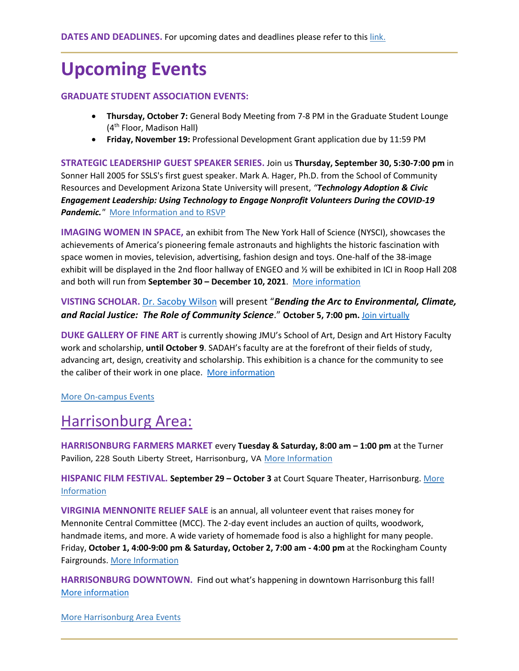### **Upcoming Events**

#### **GRADUATE STUDENT ASSOCIATION EVENTS:**

- **Thursday, October 7:** General Body Meeting from 7-8 PM in the Graduate Student Lounge (4th Floor, Madison Hall)
- **Friday, November 19:** Professional Development Grant application due by 11:59 PM

**STRATEGIC LEADERSHIP GUEST SPEAKER SERIES.** Join us **Thursday, September 30, 5:30-7:00 pm** in Sonner Hall 2005 for SSLS's first guest speaker. Mark A. Hager, Ph.D. from the School of Community Resources and Development Arizona State University will present, *"Technology Adoption & Civic Engagement Leadership: Using Technology to Engage Nonprofit Volunteers During the COVID-19*  **Pandemic.**<sup>*"*</sup> [More Information and to RSVP](https://mailchi.mp/ef7b5d0cc83e/special-guest-talk-with-dr-mark-hager)

**IMAGING WOMEN IN SPACE,** an exhibit from The New York Hall of Science (NYSCI), showcases the achievements of America's pioneering female astronauts and highlights the historic fascination with space women in movies, television, advertising, fashion design and toys. One-half of the 38-image exhibit will be displayed in the 2nd floor hallway of ENGEO and ½ will be exhibited in ICI in Roop Hall 208 and both will run from **September 30 – December 10, 2021**. More [information](https://www.jmu.edu/events/ici/2021/09-16-women-space.shtml)

#### **VISTING SCHOLAR.** [Dr. Sacoby Wilson](https://sph.umd.edu/people/sacoby-wilson) will present "*Bending the Arc to Environmental, Climate, and Racial Justice: The Role of Community Science*." **October 5, 7:00 pm.** [Join virtually](https://www.youtube.com/watch?app=desktop&v=EliTXE8K54U)

**DUKE GALLERY OF FINE ART** is currently showing JMU's School of Art, Design and Art History Faculty work and scholarship, **until October 9**. SADAH's faculty are at the forefront of their fields of study, advancing art, design, creativity and scholarship. This exhibition is a chance for the community to see the caliber of their work in one place. [More information](https://www.jmu.edu/dukehallgallery/)

#### [More On-campus Events](https://ems.jmu.edu/MasterCalendar/MasterCalendar.aspx?_ga=2.261279492.802742690.1601384782-920476218.1518451077)

### Harrisonburg Area:

**HARRISONBURG FARMERS MARKET** every **Tuesday & Saturday, 8:00 am – 1:00 pm** at the Turner Pavilion, 228 South Liberty Street, Harrisonburg, VA [More Information](https://www.harrisonburgfarmersmarket.com/)

**HISPANIC FILM FESTIVAL. September 29 – October 3** at Court Square Theater, Harrisonburg[. More](https://www.jmu.edu/academic-affairs/_documents/hispanic-film.jpg)  [Information](https://www.jmu.edu/academic-affairs/_documents/hispanic-film.jpg)

**VIRGINIA MENNONITE RELIEF SALE** is an annual, all volunteer event that raises money for Mennonite Central Committee (MCC). The 2-day event includes an auction of quilts, woodwork, handmade items, and more. A wide variety of homemade food is also a highlight for many people. Friday, **October 1, 4:00-9:00 pm & Saturday, October 2, 7:00 am - 4:00 pm** at the Rockingham County Fairgrounds. [More Information](https://vareliefsale.com/)

**HARRISONBURG DOWNTOWN.** Find out what's happening in downtown Harrisonburg this fall! [More information](https://mailchi.mp/harrisonburgva/downtown-insider?e=1f4d635f6f)

[More Harrisonburg Area Events](https://www.visitharrisonburgva.com/calendar-of-events/)